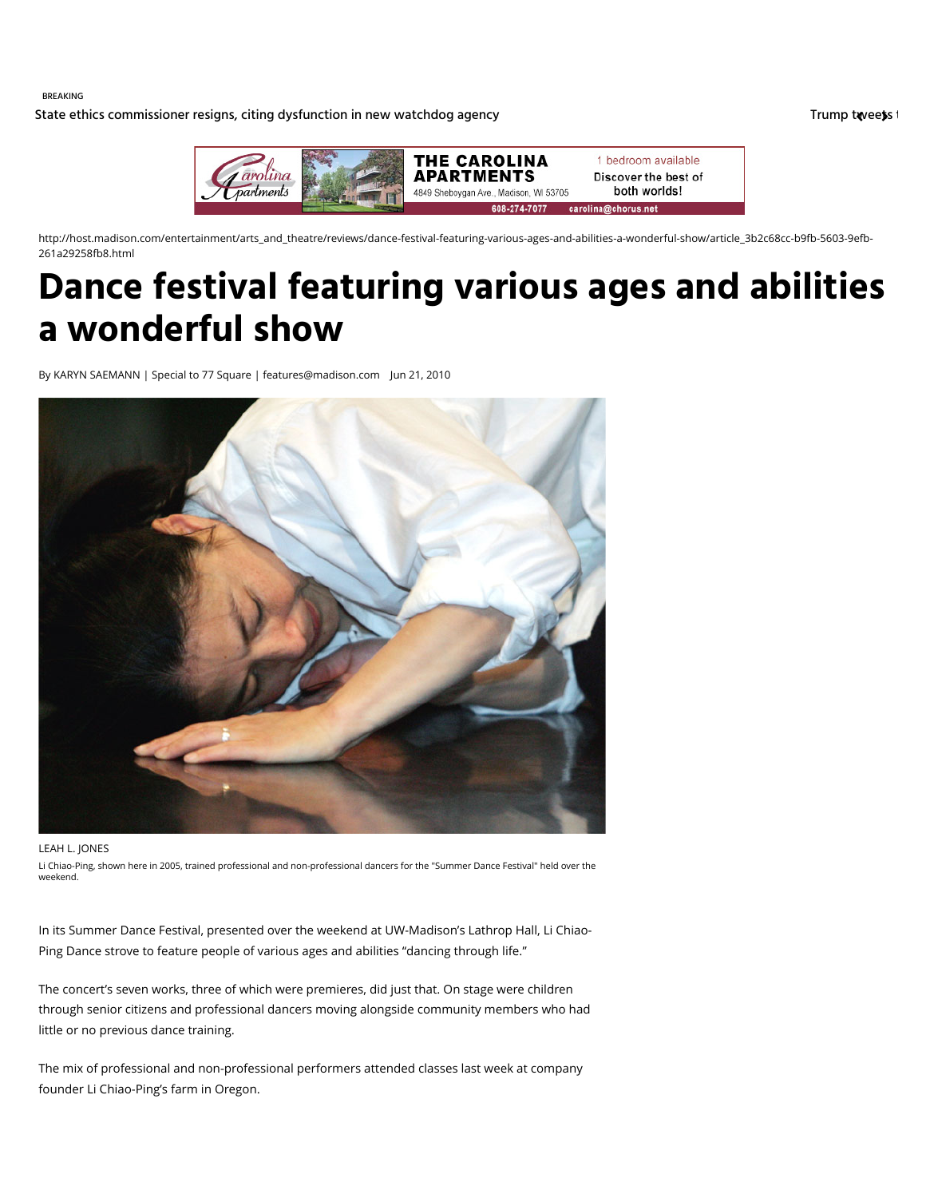BREAKING

[State ethics commissioner resigns, citing dysfunction in new watchdog agency](http://host.madison.com/wsj/news/local/govt-and-politics/state-ethics-commissioner-resigns-citing-dysfunction-in-new-watchdog-agency/article_f219492a-1fa7-5aa2-86d0-c095d49db057.html) [Trump tweets t](http://host.madison.com/wsj/news/local/trump-tweets-that-f--program-is-costly-days-after/article_39a784b0-0e56-50d1-986d-c4819bfe2f41.html)hat F-35 program is considered as home for the m is considered as home for the m is costly days after Trump tweets in the m is cons



http://host.madison.com/entertainment/arts\_and\_theatre/reviews/dance-festival-featuring-various-ages-and-abilities-a-wonderful-show/article\_3b2c68cc-b9fb-5603-9efb-261a29258fb8.html

# **Dance festival featuring various ages and abilities a wonderful show**

By KARYN SAEMANN | Special to 77 Square | features@madison.com Jun 21, 2010



#### LEAH L. JONES

Li Chiao-Ping, shown here in 2005, trained professional and non-professional dancers for the "Summer Dance Festival" held over the weekend.

In its Summer Dance Festival, presented over the weekend at UW-Madison's Lathrop Hall, Li Chiao-Ping Dance strove to feature people of various ages and abilities "dancing through life."

The concert's seven works, three of which were premieres, did just that. On stage were children through senior citizens and professional dancers moving alongside community members who had little or no previous dance training.

The mix of professional and non-professional performers attended classes last week at company founder Li Chiao-Ping's farm in Oregon.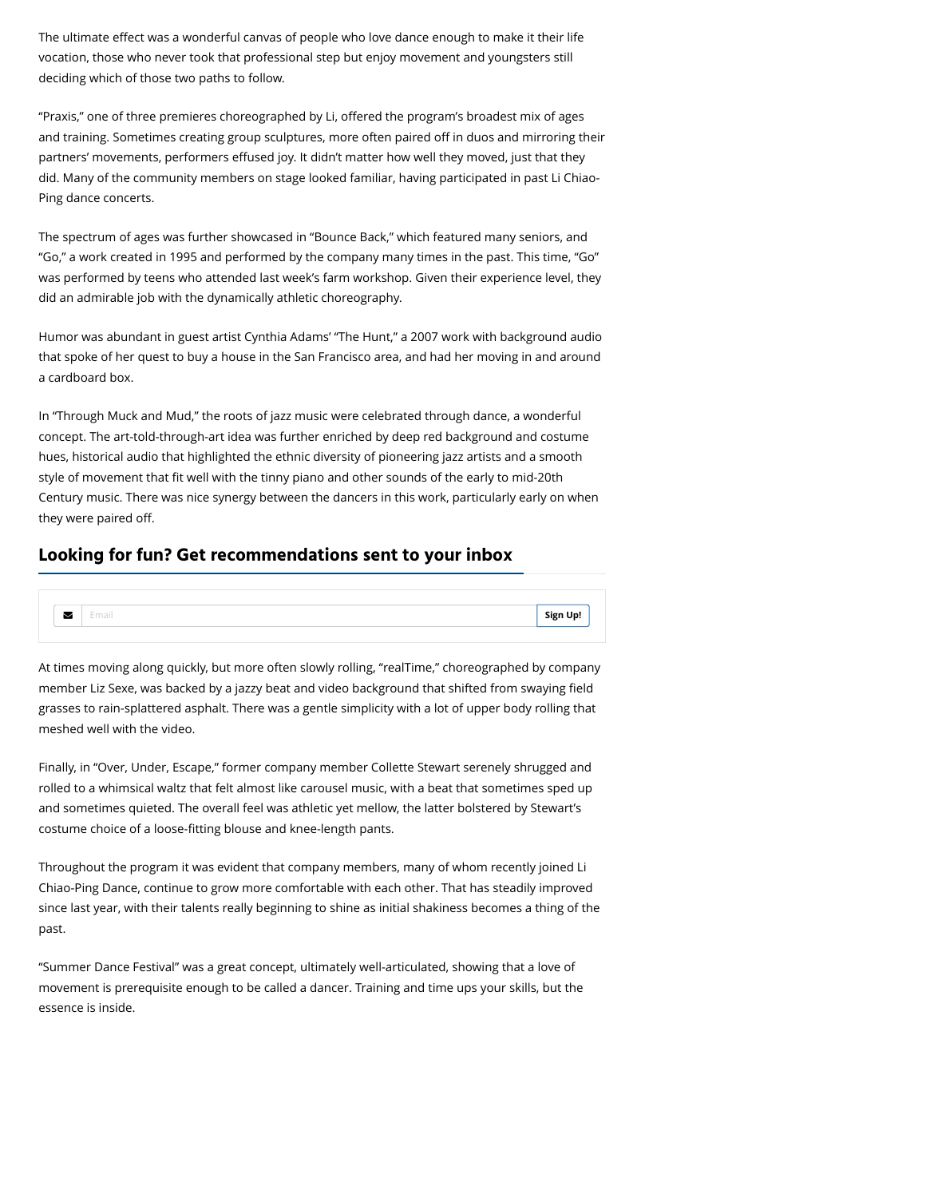The ultimate effect was a wonderful canvas of people who love dance enough to make it their life vocation, those who never took that professional step but enjoy movement and youngsters still deciding which of those two paths to follow.

"Praxis," one of three premieres choreographed by Li, offered the program's broadest mix of ages and training. Sometimes creating group sculptures, more often paired off in duos and mirroring their partners' movements, performers effused joy. It didn't matter how well they moved, just that they did. Many of the community members on stage looked familiar, having participated in past Li Chiao-Ping dance concerts.

The spectrum of ages was further showcased in "Bounce Back," which featured many seniors, and "Go," a work created in 1995 and performed by the company many times in the past. This time, "Go" was performed by teens who attended last week's farm workshop. Given their experience level, they did an admirable job with the dynamically athletic choreography.

Humor was abundant in guest artist Cynthia Adams' "The Hunt," a 2007 work with background audio that spoke of her quest to buy a house in the San Francisco area, and had her moving in and around a cardboard box.

In "Through Muck and Mud," the roots of jazz music were celebrated through dance, a wonderful concept. The art-told-through-art idea was further enriched by deep red background and costume hues, historical audio that highlighted the ethnic diversity of pioneering jazz artists and a smooth style of movement that fit well with the tinny piano and other sounds of the early to mid-20th Century music. There was nice synergy between the dancers in this work, particularly early on when they were paired off.

### **Looking for fun? Get recommendations sent to your inbox**



At times moving along quickly, but more often slowly rolling, "realTime," choreographed by company member Liz Sexe, was backed by a jazzy beat and video background that shifted from swaying field grasses to rain-splattered asphalt. There was a gentle simplicity with a lot of upper body rolling that meshed well with the video.

Finally, in "Over, Under, Escape," former company member Collette Stewart serenely shrugged and rolled to a whimsical waltz that felt almost like carousel music, with a beat that sometimes sped up and sometimes quieted. The overall feel was athletic yet mellow, the latter bolstered by Stewart's costume choice of a loose-fitting blouse and knee-length pants.

Throughout the program it was evident that company members, many of whom recently joined Li Chiao-Ping Dance, continue to grow more comfortable with each other. That has steadily improved since last year, with their talents really beginning to shine as initial shakiness becomes a thing of the past.

"Summer Dance Festival" was a great concept, ultimately well-articulated, showing that a love of movement is prerequisite enough to be called a dancer. Training and time ups your skills, but the essence is inside.